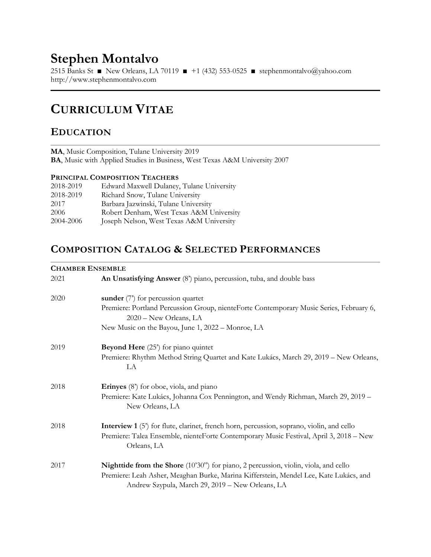# Stephen Montalvo

2515 Banks St ■ New Orleans, LA 70119 ■ +1 (432) 553-0525 ■ stephenmontalvo@yahoo.com http://www.stephenmontalvo.com

## CURRICULUM VITAE

### EDUCATION

MA, Music Composition, Tulane University 2019 BA, Music with Applied Studies in Business, West Texas A&M University 2007

#### PRINCIPAL COMPOSITION TEACHERS

| 2018-2019 | Edward Maxwell Dulaney, Tulane University |
|-----------|-------------------------------------------|
| 2018-2019 | Richard Snow, Tulane University           |
| 2017      | Barbara Jazwinski, Tulane University      |
| 2006      | Robert Denham, West Texas A&M University  |
| 2004-2006 | Joseph Nelson, West Texas A&M University  |

### COMPOSITION CATALOG & SELECTED PERFORMANCES

#### CHAMBER ENSEMBLE

|      | СПИМРЕК ЕКЗЕМРЕЕ                                                                                                                          |  |  |
|------|-------------------------------------------------------------------------------------------------------------------------------------------|--|--|
| 2021 | An Unsatisfying Answer (8') piano, percussion, tuba, and double bass                                                                      |  |  |
| 2020 | sunder $(7)$ for percussion quartet                                                                                                       |  |  |
|      | Premiere: Portland Percussion Group, nienteForte Contemporary Music Series, February 6,<br>2020 - New Orleans, LA                         |  |  |
|      | New Music on the Bayou, June 1, 2022 – Monroe, LA                                                                                         |  |  |
| 2019 | <b>Beyond Here</b> (25 <sup><i>r</i></sup> ) for piano quintet                                                                            |  |  |
|      | Premiere: Rhythm Method String Quartet and Kate Lukács, March 29, 2019 – New Orleans,<br>LA                                               |  |  |
| 2018 | Erinyes (8') for oboe, viola, and piano                                                                                                   |  |  |
|      | Premiere: Kate Lukács, Johanna Cox Pennington, and Wendy Richman, March 29, 2019 -<br>New Orleans, LA                                     |  |  |
| 2018 | <b>Interview 1</b> (5) for flute, clarinet, french horn, percussion, soprano, violin, and cello                                           |  |  |
|      | Premiere: Talea Ensemble, nienteForte Contemporary Music Festival, April 3, 2018 – New<br>Orleans, LA                                     |  |  |
| 2017 | Nighttide from the Shore (10'30") for piano, 2 percussion, violin, viola, and cello                                                       |  |  |
|      | Premiere: Leah Asher, Meaghan Burke, Marina Kifferstein, Mendel Lee, Kate Lukács, and<br>Andrew Szypula, March 29, 2019 - New Orleans, LA |  |  |
|      |                                                                                                                                           |  |  |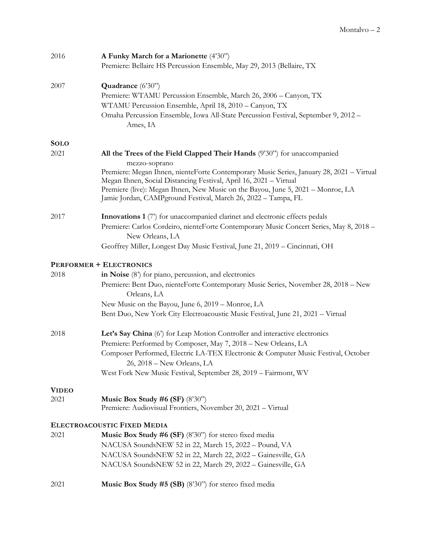| 2016         | A Funky March for a Marionette (4'30")<br>Premiere: Bellaire HS Percussion Ensemble, May 29, 2013 (Bellaire, TX                                                                                                                                                                                                                                                                                                |
|--------------|----------------------------------------------------------------------------------------------------------------------------------------------------------------------------------------------------------------------------------------------------------------------------------------------------------------------------------------------------------------------------------------------------------------|
| 2007         | Quadrance (6'30")<br>Premiere: WTAMU Percussion Ensemble, March 26, 2006 - Canyon, TX<br>WTAMU Percussion Ensemble, April 18, 2010 - Canyon, TX<br>Omaha Percussion Ensemble, Iowa All-State Percussion Festival, September 9, 2012 -<br>Ames, IA                                                                                                                                                              |
| <b>SOLO</b>  |                                                                                                                                                                                                                                                                                                                                                                                                                |
| 2021         | All the Trees of the Field Clapped Their Hands (9'30") for unaccompanied<br>mezzo-soprano<br>Premiere: Megan Ihnen, nienteForte Contemporary Music Series, January 28, 2021 - Virtual<br>Megan Ihnen, Social Distancing Festival, April 16, 2021 - Virtual<br>Premiere (live): Megan Ihnen, New Music on the Bayou, June 5, 2021 - Monroe, LA<br>Jamie Jordan, CAMPground Festival, March 26, 2022 - Tampa, FL |
| 2017         | Innovations 1 (7) for unaccompanied clarinet and electronic effects pedals<br>Premiere: Carlos Cordeiro, nienteForte Contemporary Music Concert Series, May 8, 2018 -<br>New Orleans, LA<br>Geoffrey Miller, Longest Day Music Festival, June 21, 2019 - Cincinnati, OH                                                                                                                                        |
|              | <b>PERFORMER + ELECTRONICS</b>                                                                                                                                                                                                                                                                                                                                                                                 |
| 2018         | in Noise $(8')$ for piano, percussion, and electronics<br>Premiere: Bent Duo, nienteForte Contemporary Music Series, November 28, 2018 - New<br>Orleans, LA<br>New Music on the Bayou, June 6, 2019 – Monroe, LA<br>Bent Duo, New York City Electroacoustic Music Festival, June 21, 2021 - Virtual                                                                                                            |
| 2018         | Let's Say China (6') for Leap Motion Controller and interactive electronics<br>Premiere: Performed by Composer, May 7, 2018 - New Orleans, LA<br>Composer Performed, Electric LA-TEX Electronic & Computer Music Festival, October<br>26, 2018 - New Orleans, LA<br>West Fork New Music Festival, September 28, 2019 - Fairmont, WV                                                                            |
| <b>VIDEO</b> |                                                                                                                                                                                                                                                                                                                                                                                                                |
| 2021         | Music Box Study #6 (SF) $(8'30'')$<br>Premiere: Audiovisual Frontiers, November 20, 2021 - Virtual                                                                                                                                                                                                                                                                                                             |
|              | ELECTROACOUSTIC FIXED MEDIA                                                                                                                                                                                                                                                                                                                                                                                    |
| 2021         | Music Box Study #6 (SF) (8'30") for stereo fixed media<br>NACUSA SoundsNEW 52 in 22, March 15, 2022 - Pound, VA<br>NACUSA SoundsNEW 52 in 22, March 22, 2022 - Gainesville, GA<br>NACUSA SoundsNEW 52 in 22, March 29, 2022 - Gainesville, GA                                                                                                                                                                  |
| 2021         | Music Box Study #5 (SB) (8'30") for stereo fixed media                                                                                                                                                                                                                                                                                                                                                         |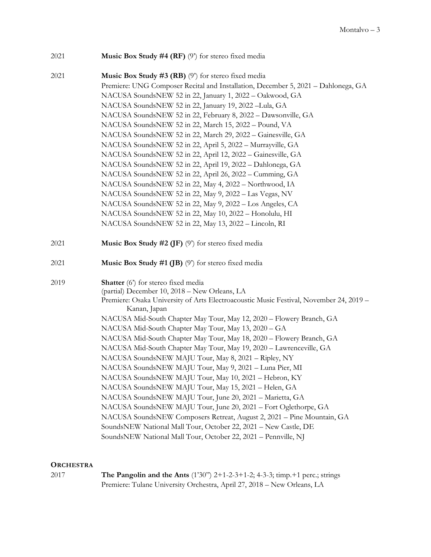| 2021 | <b>Music Box Study #4 (RF)</b> (9) for stereo fixed media                                              |
|------|--------------------------------------------------------------------------------------------------------|
| 2021 | Music Box Study #3 (RB) (9') for stereo fixed media                                                    |
|      | Premiere: UNG Composer Recital and Installation, December 5, 2021 - Dahlonega, GA                      |
|      | NACUSA SoundsNEW 52 in 22, January 1, 2022 - Oakwood, GA                                               |
|      | NACUSA SoundsNEW 52 in 22, January 19, 2022 -Lula, GA                                                  |
|      | NACUSA SoundsNEW 52 in 22, February 8, 2022 - Dawsonville, GA                                          |
|      | NACUSA SoundsNEW 52 in 22, March 15, 2022 - Pound, VA                                                  |
|      | NACUSA SoundsNEW 52 in 22, March 29, 2022 - Gainesville, GA                                            |
|      | NACUSA SoundsNEW 52 in 22, April 5, 2022 - Murrayville, GA                                             |
|      | NACUSA SoundsNEW 52 in 22, April 12, 2022 - Gainesville, GA                                            |
|      | NACUSA SoundsNEW 52 in 22, April 19, 2022 - Dahlonega, GA                                              |
|      | NACUSA SoundsNEW 52 in 22, April 26, 2022 - Cumming, GA                                                |
|      | NACUSA SoundsNEW 52 in 22, May 4, 2022 - Northwood, IA                                                 |
|      | NACUSA SoundsNEW 52 in 22, May 9, 2022 - Las Vegas, NV                                                 |
|      | NACUSA SoundsNEW 52 in 22, May 9, 2022 - Los Angeles, CA                                               |
|      | NACUSA SoundsNEW 52 in 22, May 10, 2022 - Honolulu, HI                                                 |
|      | NACUSA SoundsNEW 52 in 22, May 13, 2022 - Lincoln, RI                                                  |
| 2021 | <b>Music Box Study #2 (JF)</b> (9) for stereo fixed media                                              |
| 2021 | <b>Music Box Study #1 (JB)</b> $(9')$ for stereo fixed media                                           |
| 2019 | <b>Shatter</b> (6 <sup>2</sup> ) for stereo fixed media                                                |
|      | (partial) December 10, 2018 - New Orleans, LA                                                          |
|      | Premiere: Osaka University of Arts Electroacoustic Music Festival, November 24, 2019 -<br>Kanan, Japan |
|      | NACUSA Mid-South Chapter May Tour, May 12, 2020 - Flowery Branch, GA                                   |
|      | NACUSA Mid-South Chapter May Tour, May 13, 2020 - GA                                                   |
|      | NACUSA Mid-South Chapter May Tour, May 18, 2020 - Flowery Branch, GA                                   |
|      | NACUSA Mid-South Chapter May Tour, May 19, 2020 - Lawrenceville, GA                                    |
|      | NACUSA SoundsNEW MAJU Tour, May 8, 2021 - Ripley, NY                                                   |
|      | NACUSA SoundsNEW MAJU Tour, May 9, 2021 - Luna Pier, MI                                                |
|      | NACUSA SoundsNEW MAJU Tour, May 10, 2021 - Hebron, KY                                                  |
|      | NACUSA SoundsNEW MAJU Tour, May 15, 2021 - Helen, GA                                                   |
|      | NACUSA SoundsNEW MAJU Tour, June 20, 2021 - Marietta, GA                                               |
|      | NACUSA SoundsNEW MAJU Tour, June 20, 2021 - Fort Oglethorpe, GA                                        |
|      | NACUSA SoundsNEW Composers Retreat, August 2, 2021 - Pine Mountain, GA                                 |
|      | SoundsNEW National Mall Tour, October 22, 2021 - New Castle, DE                                        |
|      | SoundsNEW National Mall Tour, October 22, 2021 - Pennville, NJ                                         |

#### **ORCHESTRA**

| 2017 | <b>The Pangolin and the Ants</b> $(1'30'')$ 2+1-2-3+1-2; 4-3-3; timp.+1 perc.; strings |
|------|----------------------------------------------------------------------------------------|
|      | Premiere: Tulane University Orchestra, April 27, 2018 – New Orleans, LA                |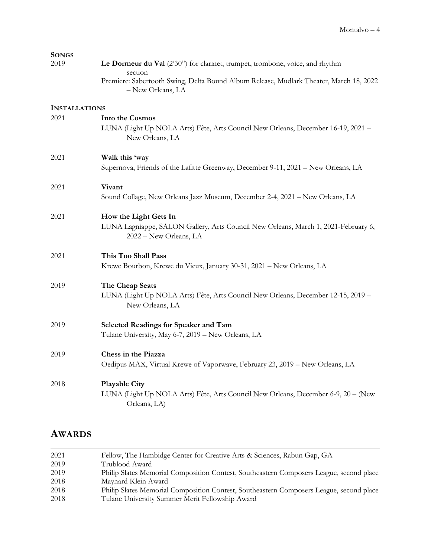| <b>SONGS</b>         |                                                                                                              |
|----------------------|--------------------------------------------------------------------------------------------------------------|
| 2019                 | Le Dormeur du Val (2'30") for clarinet, trumpet, trombone, voice, and rhythm<br>section                      |
|                      | Premiere: Sabertooth Swing, Delta Bound Album Release, Mudlark Theater, March 18, 2022<br>- New Orleans, LA  |
| <b>INSTALLATIONS</b> |                                                                                                              |
| 2021                 | <b>Into the Cosmos</b>                                                                                       |
|                      | LUNA (Light Up NOLA Arts) Fête, Arts Council New Orleans, December 16-19, 2021 -<br>New Orleans, LA          |
| 2021                 | Walk this 'way                                                                                               |
|                      | Supernova, Friends of the Lafitte Greenway, December 9-11, 2021 - New Orleans, LA                            |
| 2021                 | Vivant                                                                                                       |
|                      | Sound Collage, New Orleans Jazz Museum, December 2-4, 2021 - New Orleans, LA                                 |
| 2021                 | How the Light Gets In                                                                                        |
|                      | LUNA Lagniappe, SALON Gallery, Arts Council New Orleans, March 1, 2021-February 6,<br>2022 - New Orleans, LA |
| 2021                 | This Too Shall Pass                                                                                          |
|                      | Krewe Bourbon, Krewe du Vieux, January 30-31, 2021 - New Orleans, LA                                         |
| 2019                 | The Cheap Seats                                                                                              |
|                      | LUNA (Light Up NOLA Arts) Fête, Arts Council New Orleans, December 12-15, 2019 -<br>New Orleans, LA          |
| 2019                 | Selected Readings for Speaker and Tam                                                                        |
|                      | Tulane University, May 6-7, 2019 - New Orleans, LA                                                           |
| 2019                 | Chess in the Piazza                                                                                          |
|                      | Oedipus MAX, Virtual Krewe of Vaporwave, February 23, 2019 - New Orleans, LA                                 |
| 2018                 | <b>Playable City</b>                                                                                         |
|                      | LUNA (Light Up NOLA Arts) Fête, Arts Council New Orleans, December 6-9, 20 - (New<br>Orleans, LA)            |

### AWARDS

| 2021 | Fellow, The Hambidge Center for Creative Arts & Sciences, Rabun Gap, GA                 |
|------|-----------------------------------------------------------------------------------------|
| 2019 | Trublood Award                                                                          |
| 2019 | Philip Slates Memorial Composition Contest, Southeastern Composers League, second place |
| 2018 | Maynard Klein Award                                                                     |
| 2018 | Philip Slates Memorial Composition Contest, Southeastern Composers League, second place |
| 2018 | Tulane University Summer Merit Fellowship Award                                         |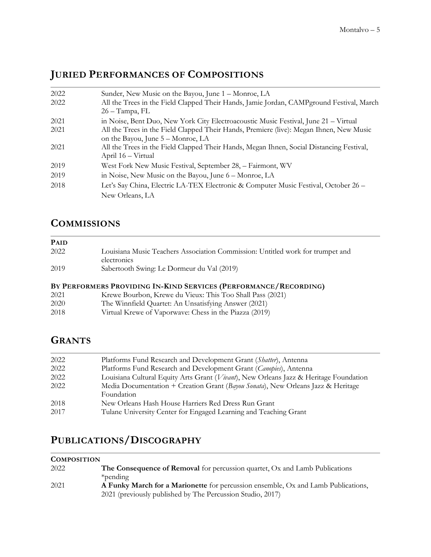## JURIED PERFORMANCES OF COMPOSITIONS

| 2022 | Sunder, New Music on the Bayou, June 1 – Monroe, LA                                                                          |
|------|------------------------------------------------------------------------------------------------------------------------------|
| 2022 | All the Trees in the Field Clapped Their Hands, Jamie Jordan, CAMPground Festival, March<br>$26 - Tampa, FL$                 |
| 2021 | in Noise, Bent Duo, New York City Electroacoustic Music Festival, June 21 – Virtual                                          |
| 2021 | All the Trees in the Field Clapped Their Hands, Premiere (live): Megan Ihnen, New Music<br>on the Bayou, June 5 – Monroe, LA |
| 2021 | All the Trees in the Field Clapped Their Hands, Megan Ihnen, Social Distancing Festival,<br>April 16 - Virtual               |
| 2019 | West Fork New Music Festival, September 28, - Fairmont, WV                                                                   |
| 2019 | in Noise, New Music on the Bayou, June 6 – Monroe, LA                                                                        |
| 2018 | Let's Say China, Electric LA-TEX Electronic & Computer Music Festival, October 26 -<br>New Orleans, LA                       |

### **COMMISSIONS**

| <b>PAID</b> |                                                                                               |
|-------------|-----------------------------------------------------------------------------------------------|
| 2022        | Louisiana Music Teachers Association Commission: Untitled work for trumpet and<br>electronics |
| 2019        | Sabertooth Swing: Le Dormeur du Val (2019)                                                    |
|             |                                                                                               |

### BY PERFORMERS PROVIDING IN-KIND SERVICES (PERFORMANCE/RECORDING)

| 2021 | Krewe Bourbon, Krewe du Vieux: This Too Shall Pass (2021) |
|------|-----------------------------------------------------------|
| 2020 | The Winnfield Quartet: An Unsatisfying Answer (2021)      |
| 2018 | Virtual Krewe of Vaporwave: Chess in the Piazza (2019)    |

### **GRANTS**

| 2022 | Platforms Fund Research and Development Grant (Shatter), Antenna                      |
|------|---------------------------------------------------------------------------------------|
| 2022 | Platforms Fund Research and Development Grant (Canopies), Antenna                     |
| 2022 | Louisiana Cultural Equity Arts Grant (Vivant), New Orleans Jazz & Heritage Foundation |
| 2022 | Media Documentation + Creation Grant (Bayou Sonata), New Orleans Jazz & Heritage      |
|      | Foundation                                                                            |
| 2018 | New Orleans Hash House Harriers Red Dress Run Grant                                   |
| 2017 | Tulane University Center for Engaged Learning and Teaching Grant                      |

# PUBLICATIONS/DISCOGRAPHY

#### **COMPOSITION**

| 2022 | <b>The Consequence of Removal</b> for percussion quartet, Ox and Lamb Publications |
|------|------------------------------------------------------------------------------------|
|      | *pending                                                                           |
| 2021 | A Funky March for a Marionette for percussion ensemble, Ox and Lamb Publications,  |
|      | 2021 (previously published by The Percussion Studio, 2017)                         |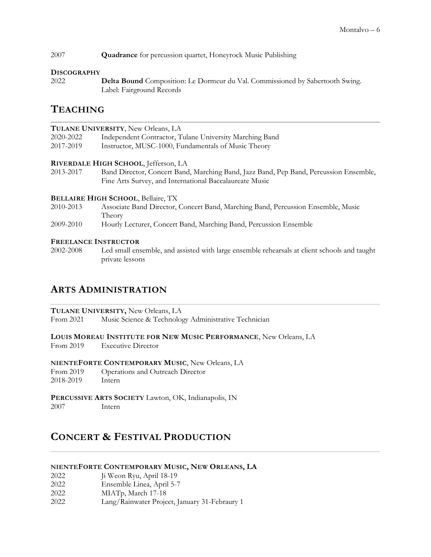2007 Quadrance for percussion quartet, Honeyrock Music Publishing

#### **DISCOGRAPHY**

2022 Delta Bound Composition: Le Dormeur du Val. Commissioned by Sabertooth Swing. Label: Fairground Records

### **TEACHING**

| 2020-2022<br>Independent Contractor, Tulane University Marching Band<br>2017-2019<br>Instructor, MUSC-1000, Fundamentals of Music Theory |  |
|------------------------------------------------------------------------------------------------------------------------------------------|--|
|                                                                                                                                          |  |
|                                                                                                                                          |  |
| RIVERDALE HIGH SCHOOL, Jefferson, LA                                                                                                     |  |
| 2013-2017<br>Band Director, Concert Band, Marching Band, Jazz Band, Pep Band, Percussion Ensemble,                                       |  |
| Fine Arts Survey, and International Baccalaureate Music                                                                                  |  |
| <b>BELLAIRE HIGH SCHOOL, Bellaire, TX</b>                                                                                                |  |
| 2010-2013<br>Associate Band Director, Concert Band, Marching Band, Percussion Ensemble, Music                                            |  |
| Theory                                                                                                                                   |  |
| 2009-2010<br>Hourly Lecturer, Concert Band, Marching Band, Percussion Ensemble                                                           |  |

#### FREELANCE INSTRUCTOR

2002-2008 Led small ensemble, and assisted with large ensemble rehearsals at client schools and taught private lessons

### ARTS ADMINISTRATION

TULANE UNIVERSITY, New Orleans, LA

From 2021 Music Science & Technology Administrative Technician

LOUIS MOREAU INSTITUTE FOR NEW MUSIC PERFORMANCE, New Orleans, LA

From 2019 Executive Director

NIENTEFORTE CONTEMPORARY MUSIC, New Orleans, LA

From 2019 Operations and Outreach Director 2018-2019 Intern

PERCUSSIVE ARTS SOCIETY Lawton, OK, Indianapolis, IN 2007 Intern

### CONCERT & FESTIVAL PRODUCTION

#### NIENTEFORTE CONTEMPORARY MUSIC, NEW ORLEANS, LA

- 2022 Ji Weon Ryu, April 18-19
- 2022 Ensemble Linea, April 5-7
- 2022 MIATp, March 17-18
- 2022 Lang/Rainwater Project, January 31-Febraury 1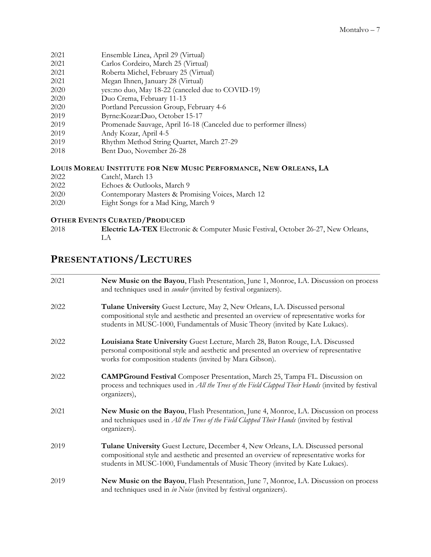- 2021 Ensemble Linea, April 29 (Virtual)
- 2021 Carlos Cordeiro, March 25 (Virtual)
- 2021 Roberta Michel, February 25 (Virtual)
- 2021 Megan Ihnen, January 28 (Virtual)
- 2020 yes::no duo, May 18-22 (canceled due to COVID-19)
- 2020 Duo Crema, February 11-13
- 2020 Portland Percussion Group, February 4-6
- 2019 Byrne:Kozar:Duo, October 15-17
- 2019 Promenade Sauvage, April 16-18 (Canceled due to performer illness)
- 2019 Andy Kozar, April 4-5
- 2019 Rhythm Method String Quartet, March 27-29
- 2018 Bent Duo, November 26-28

#### LOUIS MOREAU INSTITUTE FOR NEW MUSIC PERFORMANCE, NEW ORLEANS, LA

- 2022 Catch!, March 13<br>2022 Echoes & Outloc
- Echoes & Outlooks, March 9
- 2020 Contemporary Masters & Promising Voices, March 12
- 2020 Eight Songs for a Mad King, March 9

#### OTHER EVENTS CURATED/PRODUCED

2018 **Electric LA-TEX** Electronic & Computer Music Festival, October 26-27, New Orleans, LA

## PRESENTATIONS/LECTURES

| 2021 | New Music on the Bayou, Flash Presentation, June 1, Monroe, LA. Discussion on process<br>and techniques used in <i>sunder</i> (invited by festival organizers).                                                                                              |
|------|--------------------------------------------------------------------------------------------------------------------------------------------------------------------------------------------------------------------------------------------------------------|
| 2022 | Tulane University Guest Lecture, May 2, New Orleans, LA. Discussed personal<br>compositional style and aesthetic and presented an overview of representative works for<br>students in MUSC-1000, Fundamentals of Music Theory (invited by Kate Lukacs).      |
| 2022 | Louisiana State University Guest Lecture, March 28, Baton Rouge, LA. Discussed<br>personal compositional style and aesthetic and presented an overview of representative<br>works for composition students (invited by Mara Gibson).                         |
| 2022 | <b>CAMPGround Festival</b> Composer Presentation, March 25, Tampa FL. Discussion on<br>process and techniques used in <i>All the Trees of the Field Clapped Their Hands</i> (invited by festival<br>organizers),                                             |
| 2021 | New Music on the Bayou, Flash Presentation, June 4, Monroe, LA. Discussion on process<br>and techniques used in All the Trees of the Field Clapped Their Hands (invited by festival<br>organizers).                                                          |
| 2019 | Tulane University Guest Lecture, December 4, New Orleans, LA. Discussed personal<br>compositional style and aesthetic and presented an overview of representative works for<br>students in MUSC-1000, Fundamentals of Music Theory (invited by Kate Lukacs). |
| 2019 | New Music on the Bayou, Flash Presentation, June 7, Monroe, LA. Discussion on process<br>and techniques used in in Noise (invited by festival organizers).                                                                                                   |